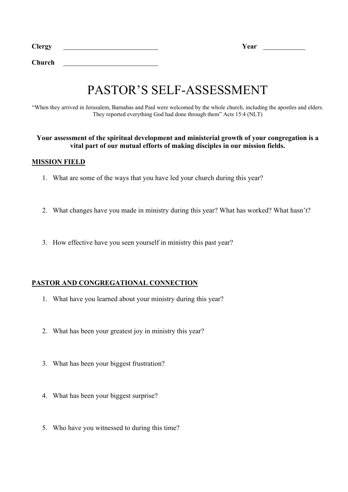| <b>Clergy</b> | ear |  |  |
|---------------|-----|--|--|
|               |     |  |  |

# PASTOR'S SELF-ASSESSMENT

"When they arrived in Jerusalem, Barnabas and Paul were welcomed by the whole church, including the apostles and elders. They reported everything God had done through them" Acts 15:4 (NLT)

### **Your assessment of the spiritual development and ministerial growth of your congregation is a vital part of our mutual efforts of making disciples in our mission fields.**

# **MISSION FIELD**

**Church**

- 1. What are some of the ways that you have led your church during this year?
- 2. What changes have you made in ministry during this year? What has worked? What hasn't?
- 3. How effective have you seen yourself in ministry this past year?

# **PASTOR AND CONGREGATIONAL CONNECTION**

- 1. What have you learned about your ministry during this year?
- 2. What has been your greatest joy in ministry this year?
- 3. What has been your biggest frustration?
- 4. What has been your biggest surprise?
- 5. Who have you witnessed to during this time?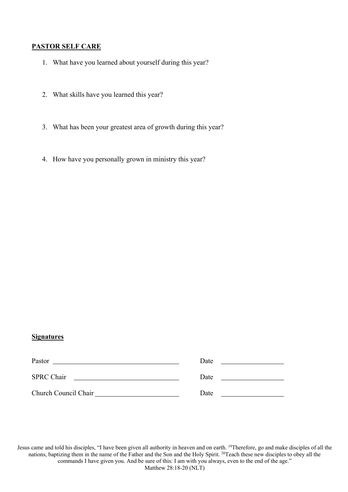# **PASTOR SELF CARE**

- 1. What have you learned about yourself during this year?
- 2. What skills have you learned this year?
- 3. What has been your greatest area of growth during this year?
- 4. How have you personally grown in ministry this year?

#### **Signatures**

| Pastor               | Date |
|----------------------|------|
| <b>SPRC Chair</b>    | Date |
| Church Council Chair | Date |

Jesus came and told his disciples, "I have been given all authority in heaven and on earth. 19Therefore, go and make disciples of all the nations, baptizing them in the name of the Father and the Son and the Holy Spirit. 20Teach these new disciples to obey all the commands I have given you. And be sure of this: I am with you always, even to the end of the age." Matthew 28:18-20 (NLT)